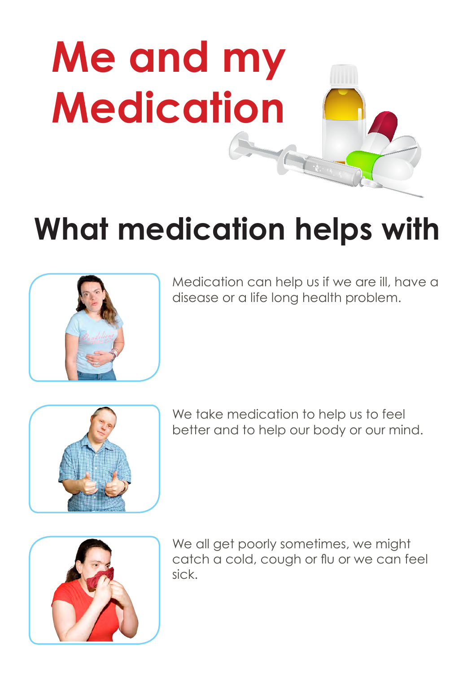

## **What medication helps with**



Medication can help us if we are ill, have a disease or a life long health problem.



We take medication to help us to feel better and to help our body or our mind.



We all get poorly sometimes, we might catch a cold, cough or flu or we can feel sick.